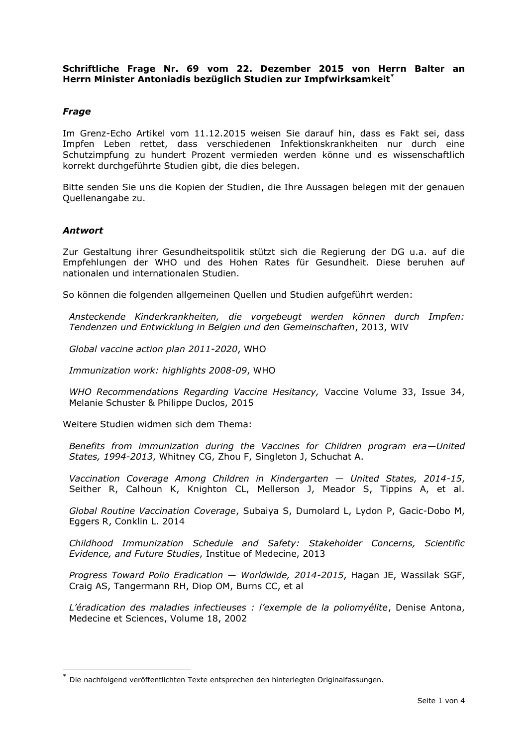## **Schriftliche Frage Nr. 69 vom 22. Dezember 2015 von Herrn Balter an Herrn Minister Antoniadis bezüglich Studien zur Impfwirksamkeit\***

## *Frage*

Im Grenz-Echo Artikel vom 11.12.2015 weisen Sie darauf hin, dass es Fakt sei, dass Impfen Leben rettet, dass verschiedenen Infektionskrankheiten nur durch eine Schutzimpfung zu hundert Prozent vermieden werden könne und es wissenschaftlich korrekt durchgeführte Studien gibt, die dies belegen.

Bitte senden Sie uns die Kopien der Studien, die Ihre Aussagen belegen mit der genauen Quellenangabe zu.

## *Antwort*

-

Zur Gestaltung ihrer Gesundheitspolitik stützt sich die Regierung der DG u.a. auf die Empfehlungen der WHO und des Hohen Rates für Gesundheit. Diese beruhen auf nationalen und internationalen Studien.

So können die folgenden allgemeinen Quellen und Studien aufgeführt werden:

*Ansteckende Kinderkrankheiten, die vorgebeugt werden können durch Impfen: Tendenzen und Entwicklung in Belgien und den Gemeinschaften*, 2013, WIV

*Global vaccine action plan 2011-2020*, WHO

*Immunization work: highlights 2008-09*, WHO

*WHO Recommendations Regarding Vaccine Hesitancy,* Vaccine Volume 33, Issue 34, Melanie Schuster & Philippe Duclos, 2015

Weitere Studien widmen sich dem Thema:

*Benefits from immunization during the Vaccines for Children program era—United States, 1994-2013*, Whitney CG, Zhou F, Singleton J, Schuchat A.

*Vaccination Coverage Among Children in Kindergarten — United States, 2014-15*, Seither R, Calhoun K, Knighton CL, Mellerson J, Meador S, Tippins A, et al.

*Global Routine Vaccination Coverage*, Subaiya S, Dumolard L, Lydon P, Gacic-Dobo M, Eggers R, Conklin L. 2014

*Childhood Immunization Schedule and Safety: Stakeholder Concerns, Scientific Evidence, and Future Studies*, Institue of Medecine, 2013

*Progress Toward Polio Eradication — Worldwide, 2014-2015*, Hagan JE, Wassilak SGF, Craig AS, Tangermann RH, Diop OM, Burns CC, et al

*L'éradication des maladies infectieuses : l'exemple de la poliomyélite*, Denise Antona, Medecine et Sciences, Volume 18, 2002

Die nachfolgend veröffentlichten Texte entsprechen den hinterlegten Originalfassungen.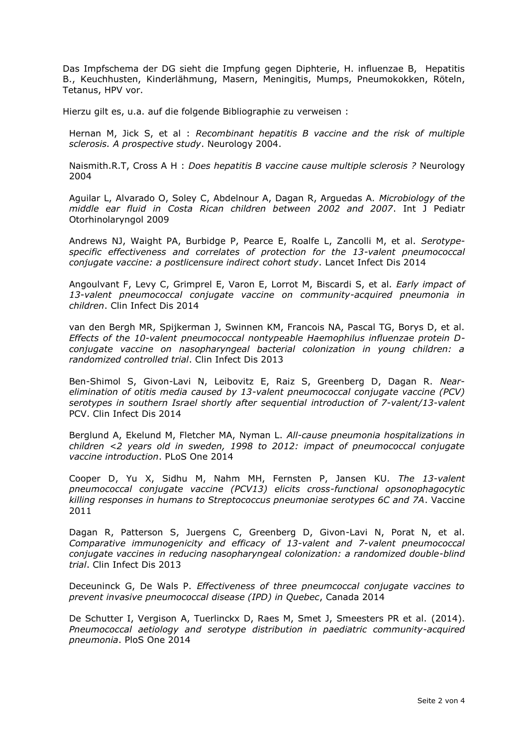Das Impfschema der DG sieht die Impfung gegen Diphterie, H. influenzae B, Hepatitis B., Keuchhusten, Kinderlähmung, Masern, Meningitis, Mumps, Pneumokokken, Röteln, Tetanus, HPV vor.

Hierzu gilt es, u.a. auf die folgende Bibliographie zu verweisen :

Hernan M, Jick S, et al : *Recombinant hepatitis B vaccine and the risk of multiple sclerosis. A prospective study*. Neurology 2004.

Naismith.R.T, Cross A H : *Does hepatitis B vaccine cause multiple sclerosis ?* Neurology 2004

Aguilar L, Alvarado O, Soley C, Abdelnour A, Dagan R, Arguedas A*. Microbiology of the middle ear fluid in Costa Rican children between 2002 and 2007*. Int J Pediatr Otorhinolaryngol 2009

Andrews NJ, Waight PA, Burbidge P, Pearce E, Roalfe L, Zancolli M, et al. *Serotypespecific effectiveness and correlates of protection for the 13-valent pneumococcal conjugate vaccine: a postlicensure indirect cohort study*. Lancet Infect Dis 2014

Angoulvant F, Levy C, Grimprel E, Varon E, Lorrot M, Biscardi S, et al*. Early impact of 13-valent pneumococcal conjugate vaccine on community-acquired pneumonia in children*. Clin Infect Dis 2014

van den Bergh MR, Spijkerman J, Swinnen KM, Francois NA, Pascal TG, Borys D, et al. *Effects of the 10-valent pneumococcal nontypeable Haemophilus influenzae protein Dconjugate vaccine on nasopharyngeal bacterial colonization in young children: a randomized controlled trial*. Clin Infect Dis 2013

Ben-Shimol S, Givon-Lavi N, Leibovitz E, Raiz S, Greenberg D, Dagan R. *Nearelimination of otitis media caused by 13-valent pneumococcal conjugate vaccine (PCV) serotypes in southern Israel shortly after sequential introduction of 7-valent/13-valent* PCV. Clin Infect Dis 2014

Berglund A, Ekelund M, Fletcher MA, Nyman L. *All-cause pneumonia hospitalizations in children <2 years old in sweden, 1998 to 2012: impact of pneumococcal conjugate vaccine introduction*. PLoS One 2014

Cooper D, Yu X, Sidhu M, Nahm MH, Fernsten P, Jansen KU. *The 13-valent pneumococcal conjugate vaccine (PCV13) elicits cross-functional opsonophagocytic killing responses in humans to Streptococcus pneumoniae serotypes 6C and 7A*. Vaccine 2011

Dagan R, Patterson S, Juergens C, Greenberg D, Givon-Lavi N, Porat N, et al. *Comparative immunogenicity and efficacy of 13-valent and 7-valent pneumococcal conjugate vaccines in reducing nasopharyngeal colonization: a randomized double-blind trial*. Clin Infect Dis 2013

Deceuninck G, De Wals P. *Effectiveness of three pneumcoccal conjugate vaccines to prevent invasive pneumococcal disease (IPD) in Quebec*, Canada 2014

De Schutter I, Vergison A, Tuerlinckx D, Raes M, Smet J, Smeesters PR et al. (2014). *Pneumococcal aetiology and serotype distribution in paediatric community-acquired pneumonia*. PloS One 2014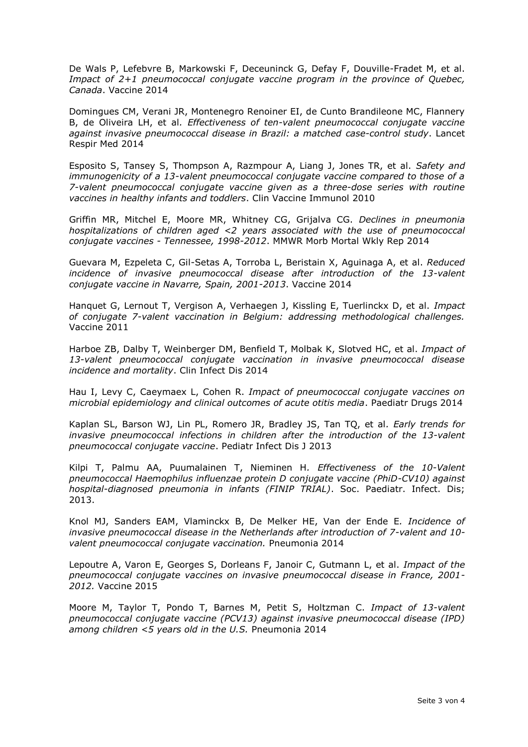De Wals P, Lefebvre B, Markowski F, Deceuninck G, Defay F, Douville-Fradet M, et al. *Impact of 2+1 pneumococcal conjugate vaccine program in the province of Quebec, Canada*. Vaccine 2014

Domingues CM, Verani JR, Montenegro Renoiner EI, de Cunto Brandileone MC, Flannery B, de Oliveira LH, et al*. Effectiveness of ten-valent pneumococcal conjugate vaccine against invasive pneumococcal disease in Brazil: a matched case-control study*. Lancet Respir Med 2014

Esposito S, Tansey S, Thompson A, Razmpour A, Liang J, Jones TR, et al. *Safety and immunogenicity of a 13-valent pneumococcal conjugate vaccine compared to those of a 7-valent pneumococcal conjugate vaccine given as a three-dose series with routine vaccines in healthy infants and toddlers*. Clin Vaccine Immunol 2010

Griffin MR, Mitchel E, Moore MR, Whitney CG, Grijalva CG. *Declines in pneumonia hospitalizations of children aged <2 years associated with the use of pneumococcal conjugate vaccines - Tennessee, 1998-2012*. MMWR Morb Mortal Wkly Rep 2014

Guevara M, Ezpeleta C, Gil-Setas A, Torroba L, Beristain X, Aguinaga A, et al. *Reduced*  incidence of invasive pneumococcal disease after introduction of the 13-valent *conjugate vaccine in Navarre, Spain, 2001-2013*. Vaccine 2014

Hanquet G, Lernout T, Vergison A, Verhaegen J, Kissling E, Tuerlinckx D, et al. *Impact of conjugate 7-valent vaccination in Belgium: addressing methodological challenges.* Vaccine 2011

Harboe ZB, Dalby T, Weinberger DM, Benfield T, Molbak K, Slotved HC, et al. *Impact of 13-valent pneumococcal conjugate vaccination in invasive pneumococcal disease incidence and mortality*. Clin Infect Dis 2014

Hau I, Levy C, Caeymaex L, Cohen R. *Impact of pneumococcal conjugate vaccines on microbial epidemiology and clinical outcomes of acute otitis media*. Paediatr Drugs 2014

Kaplan SL, Barson WJ, Lin PL, Romero JR, Bradley JS, Tan TQ, et al*. Early trends for invasive pneumococcal infections in children after the introduction of the 13-valent pneumococcal conjugate vaccine*. Pediatr Infect Dis J 2013

Kilpi T, Palmu AA, Puumalainen T, Nieminen H*. Effectiveness of the 10-Valent pneumococcal Haemophilus influenzae protein D conjugate vaccine (PhiD-CV10) against hospital-diagnosed pneumonia in infants (FINIP TRIAL)*. Soc. Paediatr. Infect. Dis; 2013.

Knol MJ, Sanders EAM, Vlaminckx B, De Melker HE, Van der Ende E*. Incidence of invasive pneumococcal disease in the Netherlands after introduction of 7-valent and 10 valent pneumococcal conjugate vaccination.* Pneumonia 2014

Lepoutre A, Varon E, Georges S, Dorleans F, Janoir C, Gutmann L, et al. *Impact of the pneumococcal conjugate vaccines on invasive pneumococcal disease in France, 2001- 2012.* Vaccine 2015

Moore M, Taylor T, Pondo T, Barnes M, Petit S, Holtzman C. *Impact of 13-valent pneumococcal conjugate vaccine (PCV13) against invasive pneumococcal disease (IPD) among children <5 years old in the U.S.* Pneumonia 2014